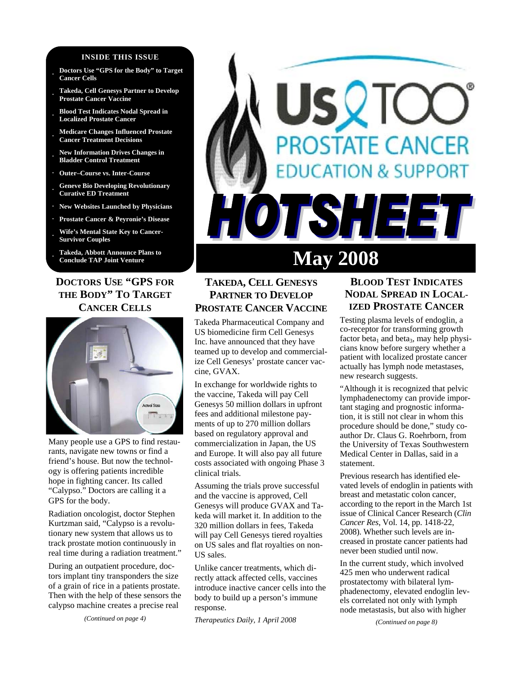#### **INSIDE THIS ISSUE**

- **· Doctors Use "GPS for the Body" to Target Cancer Cells**
- **· Takeda, Cell Genesys Partner to Develop Prostate Cancer Vaccine**
- **· Blood Test Indicates Nodal Spread in Localized Prostate Cancer**
- **· Medicare Changes Influenced Prostate Cancer Treatment Decisions**
- **· New Information Drives Changes in Bladder Control Treatment**
- **· Outer–Course vs. Inter-Course**
- **· Geneve Bio Developing Revolutionary Curative ED Treatment**
- **· New Websites Launched by Physicians**
- **· Prostate Cancer & Peyronie's Disease**
- **· Wife's Mental State Key to Cancer-Survivor Couples**
- **· Takeda, Abbott Announce Plans to Conclude TAP Joint Venture**

# **DOCTORS USE "GPS FOR THE BODY" TO TARGET CANCER CELLS**



Many people use a GPS to find restaurants, navigate new towns or find a friend's house. But now the technology is offering patients incredible hope in fighting cancer. Its called "Calypso." Doctors are calling it a GPS for the body.

Radiation oncologist, doctor Stephen Kurtzman said, "Calypso is a revolutionary new system that allows us to track prostate motion continuously in real time during a radiation treatment."

During an outpatient procedure, doctors implant tiny transponders the size of a grain of rice in a patients prostate. Then with the help of these sensors the calypso machine creates a precise real

*(Continued on page 4)* 

# **DSTATE CANCER DN & SUPPORT ISHEE May 2008**

# **TAKEDA, CELL GENESYS PARTNER TO DEVELOP PROSTATE CANCER VACCINE**

Takeda Pharmaceutical Company and US biomedicine firm Cell Genesys Inc. have announced that they have teamed up to develop and commercialize Cell Genesys' prostate cancer vaccine, GVAX.

In exchange for worldwide rights to the vaccine, Takeda will pay Cell Genesys 50 million dollars in upfront fees and additional milestone payments of up to 270 million dollars based on regulatory approval and commercialization in Japan, the US and Europe. It will also pay all future costs associated with ongoing Phase 3 clinical trials.

Assuming the trials prove successful and the vaccine is approved, Cell Genesys will produce GVAX and Takeda will market it. In addition to the 320 million dollars in fees, Takeda will pay Cell Genesys tiered royalties on US sales and flat royalties on non-US sales.

Unlike cancer treatments, which directly attack affected cells, vaccines introduce inactive cancer cells into the body to build up a person's immune response.

*Therapeutics Daily, 1 April 2008* 

# **BLOOD TEST INDICATES NODAL SPREAD IN LOCAL-IZED PROSTATE CANCER**

Testing plasma levels of endoglin, a co-receptor for transforming growth factor beta<sub>1</sub> and beta<sub>3</sub>, may help physicians know before surgery whether a patient with localized prostate cancer actually has lymph node metastases, new research suggests.

"Although it is recognized that pelvic lymphadenectomy can provide important staging and prognostic information, it is still not clear in whom this procedure should be done," study coauthor Dr. Claus G. Roehrborn, from the University of Texas Southwestern Medical Center in Dallas, said in a statement.

Previous research has identified elevated levels of endoglin in patients with breast and metastatic colon cancer, according to the report in the March 1st issue of Clinical Cancer Research (*Clin Cancer Res*, Vol. 14, pp. 1418-22, 2008). Whether such levels are increased in prostate cancer patients had never been studied until now.

In the current study, which involved 425 men who underwent radical prostatectomy with bilateral lymphadenectomy, elevated endoglin levels correlated not only with lymph node metastasis, but also with higher

*(Continued on page 8)*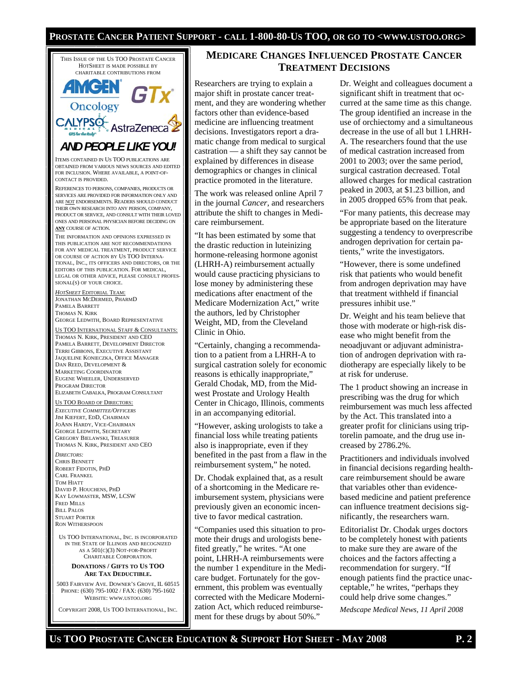#### **PROSTATE CANCER PATIENT SUPPORT - CALL 1-800-80-US TOO, OR GO TO <WWW.USTOO.ORG>**



MARKETING COORDINATOR EUGENE WHEELER, UNDERSERVED PROGRAM DIRECTOR ELIZABETH CABALKA, PROGRAM CONSULTANT

US TOO BOARD OF DIRECTORS: *EXECUTIVE COMMITTEE/OFFICERS* JIM KIEFERT, EDD, CHAIRMAN JOANN HARDY, VICE-CHAIRMAN GEORGE LEDWITH, SECRETARY GREGORY BIELAWSKI, TREASURER THOMAS N. KIRK, PRESIDENT AND CEO

*DIRECTORS:*  CHRIS BENNETT ROBERT FIDOTIN, PHD CARL FRANKEL TOM HIATT DAVID P. HOUCHENS, PHD KAY LOWMASTER, MSW, LCSW FRED MILLS **BILL PALOS** STUART PORTER RON WITHERSPOON

US TOO INTERNATIONAL, INC. IS INCORPORATED IN THE STATE OF ILLINOIS AND RECOGNIZED AS A 501(C)(3) NOT-FOR-PROFIT CHARITABLE CORPORATION.

#### **DONATIONS / GIFTS TO US TOO ARE TAX DEDUCTIBLE.**

5003 FAIRVIEW AVE. DOWNER'S GROVE, IL 60515 PHONE: (630) 795-1002 / FAX: (630) 795-1602 WEBSITE: WWW.USTOO.ORG

COPYRIGHT 2008, US TOO INTERNATIONAL, INC.

## **MEDICARE CHANGES INFLUENCED PROSTATE CANCER TREATMENT DECISIONS**

Researchers are trying to explain a major shift in prostate cancer treatment, and they are wondering whether factors other than evidence-based medicine are influencing treatment decisions. Investigators report a dramatic change from medical to surgical castration — a shift they say cannot be explained by differences in disease demographics or changes in clinical practice promoted in the literature.

The work was released online April 7 in the journal *Cancer*, and researchers attribute the shift to changes in Medicare reimbursement.

"It has been estimated by some that the drastic reduction in luteinizing hormone-releasing hormone agonist (LHRH-A) reimbursement actually would cause practicing physicians to lose money by administering these medications after enactment of the Medicare Modernization Act," write the authors, led by Christopher Weight, MD, from the Cleveland Clinic in Ohio.

"Certainly, changing a recommendation to a patient from a LHRH-A to surgical castration solely for economic reasons is ethically inappropriate," Gerald Chodak, MD, from the Midwest Prostate and Urology Health Center in Chicago, Illinois, comments in an accompanying editorial.

"However, asking urologists to take a financial loss while treating patients also is inappropriate, even if they benefited in the past from a flaw in the reimbursement system," he noted.

Dr. Chodak explained that, as a result of a shortcoming in the Medicare reimbursement system, physicians were previously given an economic incentive to favor medical castration.

"Companies used this situation to promote their drugs and urologists benefited greatly," he writes. "At one point, LHRH-A reimbursements were the number 1 expenditure in the Medicare budget. Fortunately for the government, this problem was eventually corrected with the Medicare Modernization Act, which reduced reimbursement for these drugs by about 50%."

Dr. Weight and colleagues document a significant shift in treatment that occurred at the same time as this change. The group identified an increase in the use of orchiectomy and a simultaneous decrease in the use of all but 1 LHRH-A. The researchers found that the use of medical castration increased from 2001 to 2003; over the same period, surgical castration decreased. Total allowed charges for medical castration peaked in 2003, at \$1.23 billion, and in 2005 dropped 65% from that peak.

"For many patients, this decrease may be appropriate based on the literature suggesting a tendency to overprescribe androgen deprivation for certain patients," write the investigators.

"However, there is some undefined risk that patients who would benefit from androgen deprivation may have that treatment withheld if financial pressures inhibit use."

Dr. Weight and his team believe that those with moderate or high-risk disease who might benefit from the neoadjuvant or adjuvant administration of androgen deprivation with radiotherapy are especially likely to be at risk for underuse.

The 1 product showing an increase in prescribing was the drug for which reimbursement was much less affected by the Act. This translated into a greater profit for clinicians using triptorelin pamoate, and the drug use increased by 2786.2%.

Practitioners and individuals involved in financial decisions regarding healthcare reimbursement should be aware that variables other than evidencebased medicine and patient preference can influence treatment decisions significantly, the researchers warn.

Editorialist Dr. Chodak urges doctors to be completely honest with patients to make sure they are aware of the choices and the factors affecting a recommendation for surgery. "If enough patients find the practice unacceptable," he writes, "perhaps they could help drive some changes."

*Medscape Medical News, 11 April 2008*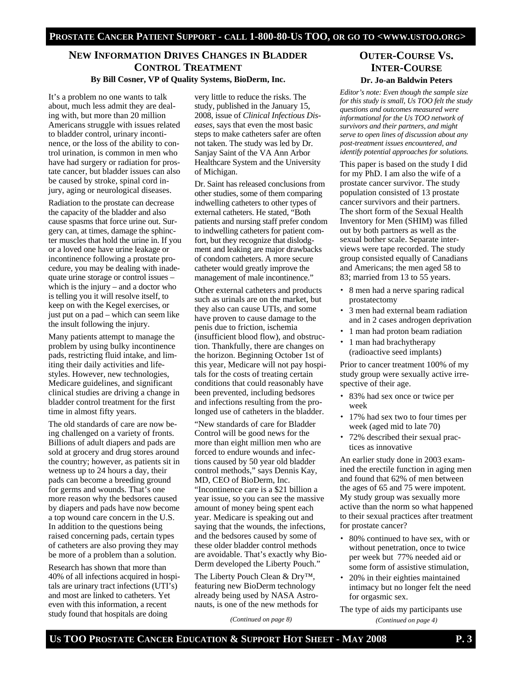# **NEW INFORMATION DRIVES CHANGES IN BLADDER CONTROL TREATMENT By Bill Cosner, VP of Quality Systems, BioDerm, Inc.**

It's a problem no one wants to talk about, much less admit they are dealing with, but more than 20 million Americans struggle with issues related to bladder control, urinary incontinence, or the loss of the ability to control urination, is common in men who have had surgery or radiation for prostate cancer, but bladder issues can also be caused by stroke, spinal cord injury, aging or neurological diseases.

Radiation to the prostate can decrease the capacity of the bladder and also cause spasms that force urine out. Surgery can, at times, damage the sphincter muscles that hold the urine in. If you or a loved one have urine leakage or incontinence following a prostate procedure, you may be dealing with inadequate urine storage or control issues – which is the injury – and a doctor who is telling you it will resolve itself, to keep on with the Kegel exercises, or just put on a pad – which can seem like the insult following the injury.

Many patients attempt to manage the problem by using bulky incontinence pads, restricting fluid intake, and limiting their daily activities and lifestyles. However, new technologies, Medicare guidelines, and significant clinical studies are driving a change in bladder control treatment for the first time in almost fifty years.

The old standards of care are now being challenged on a variety of fronts. Billions of adult diapers and pads are sold at grocery and drug stores around the country; however, as patients sit in wetness up to 24 hours a day, their pads can become a breeding ground for germs and wounds. That's one more reason why the bedsores caused by diapers and pads have now become a top wound care concern in the U.S. In addition to the questions being raised concerning pads, certain types of catheters are also proving they may be more of a problem than a solution.

Research has shown that more than 40% of all infections acquired in hospitals are urinary tract infections (UTI's) and most are linked to catheters. Yet even with this information, a recent study found that hospitals are doing

very little to reduce the risks. The study, published in the January 15, 2008, issue of *Clinical Infectious Diseases*, says that even the most basic steps to make catheters safer are often not taken. The study was led by Dr. Sanjay Saint of the VA Ann Arbor Healthcare System and the University of Michigan.

Dr. Saint has released conclusions from other studies, some of them comparing indwelling catheters to other types of external catheters. He stated, "Both patients and nursing staff prefer condom to indwelling catheters for patient comfort, but they recognize that dislodgment and leaking are major drawbacks of condom catheters. A more secure catheter would greatly improve the management of male incontinence."

Other external catheters and products such as urinals are on the market, but they also can cause UTIs, and some have proven to cause damage to the penis due to friction, ischemia (insufficient blood flow), and obstruction. Thankfully, there are changes on the horizon. Beginning October 1st of this year, Medicare will not pay hospitals for the costs of treating certain conditions that could reasonably have been prevented, including bedsores and infections resulting from the prolonged use of catheters in the bladder.

"New standards of care for Bladder Control will be good news for the more than eight million men who are forced to endure wounds and infections caused by 50 year old bladder control methods," says Dennis Kay, MD, CEO of BioDerm, Inc. "Incontinence care is a \$21 billion a year issue, so you can see the massive amount of money being spent each year. Medicare is speaking out and saying that the wounds, the infections, and the bedsores caused by some of these older bladder control methods are avoidable. That's exactly why Bio-Derm developed the Liberty Pouch."

The Liberty Pouch Clean & Dry™, featuring new BioDerm technology already being used by NASA Astronauts, is one of the new methods for

*(Continued on page 8)* 

# **OUTER-COURSE VS. INTER-COURSE Dr. Jo-an Baldwin Peters**

*Editor's note: Even though the sample size for this study is small, Us TOO felt the study questions and outcomes measured were informational for the Us TOO network of survivors and their partners, and might serve to open lines of discussion about any post-treatment issues encountered, and identify potential approaches for solutions.* 

This paper is based on the study I did for my PhD. I am also the wife of a prostate cancer survivor. The study population consisted of 13 prostate cancer survivors and their partners. The short form of the Sexual Health Inventory for Men (SHIM) was filled out by both partners as well as the sexual bother scale. Separate interviews were tape recorded. The study group consisted equally of Canadians and Americans; the men aged 58 to 83; married from 13 to 55 years.

- 8 men had a nerve sparing radical prostatectomy
- 3 men had external beam radiation and in 2 cases androgen deprivation
- 1 man had proton beam radiation
- 1 man had brachytherapy (radioactive seed implants)

Prior to cancer treatment 100% of my study group were sexually active irrespective of their age.

- 83% had sex once or twice per week
- 17% had sex two to four times per week (aged mid to late 70)
- 72% described their sexual practices as innovative

An earlier study done in 2003 examined the erectile function in aging men and found that 62% of men between the ages of 65 and 75 were impotent. My study group was sexually more active than the norm so what happened to their sexual practices after treatment for prostate cancer?

- 80% continued to have sex, with or without penetration, once to twice per week but 77% needed aid or some form of assistive stimulation,
- 20% in their eighties maintained intimacy but no longer felt the need for orgasmic sex.
- The type of aids my participants use *(Continued on page 4)*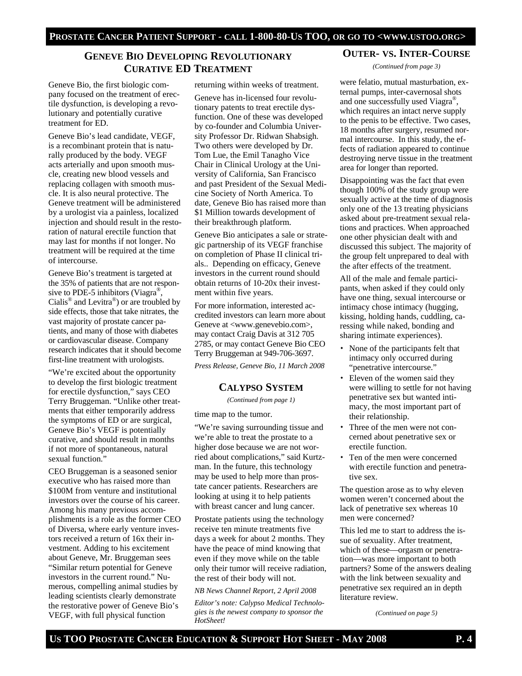# **GENEVE BIO DEVELOPING REVOLUTIONARY CURATIVE ED TREATMENT**

Geneve Bio, the first biologic company focused on the treatment of erectile dysfunction, is developing a revolutionary and potentially curative treatment for ED.

Geneve Bio's lead candidate, VEGF, is a recombinant protein that is naturally produced by the body. VEGF acts arterially and upon smooth muscle, creating new blood vessels and replacing collagen with smooth muscle. It is also neural protective. The Geneve treatment will be administered by a urologist via a painless, localized injection and should result in the restoration of natural erectile function that may last for months if not longer. No treatment will be required at the time of intercourse.

Geneve Bio's treatment is targeted at the 35% of patients that are not responsive to PDE-5 inhibitors (Viagra<sup>®</sup>, Cialis<sup>®</sup> and Levitra<sup>®</sup>) or are troubled by side effects, those that take nitrates, the vast majority of prostate cancer patients, and many of those with diabetes or cardiovascular disease. Company research indicates that it should become first-line treatment with urologists.

"We're excited about the opportunity to develop the first biologic treatment for erectile dysfunction," says CEO Terry Bruggeman. "Unlike other treatments that either temporarily address the symptoms of ED or are surgical, Geneve Bio's VEGF is potentially curative, and should result in months if not more of spontaneous, natural sexual function."

CEO Bruggeman is a seasoned senior executive who has raised more than \$100M from venture and institutional investors over the course of his career. Among his many previous accomplishments is a role as the former CEO of Diversa, where early venture investors received a return of 16x their investment. Adding to his excitement about Geneve, Mr. Bruggeman sees "Similar return potential for Geneve investors in the current round." Numerous, compelling animal studies by leading scientists clearly demonstrate the restorative power of Geneve Bio's VEGF, with full physical function

returning within weeks of treatment.

Geneve has in-licensed four revolutionary patents to treat erectile dysfunction. One of these was developed by co-founder and Columbia University Professor Dr. Ridwan Shabsigh. Two others were developed by Dr. Tom Lue, the Emil Tanagho Vice Chair in Clinical Urology at the University of California, San Francisco and past President of the Sexual Medicine Society of North America. To date, Geneve Bio has raised more than \$1 Million towards development of their breakthrough platform.

Geneve Bio anticipates a sale or strategic partnership of its VEGF franchise on completion of Phase II clinical trials.. Depending on efficacy, Geneve investors in the current round should obtain returns of 10-20x their investment within five years.

For more information, interested accredited investors can learn more about Geneve at <www.genevebio.com>, may contact Craig Davis at 312 705 2785, or may contact Geneve Bio CEO Terry Bruggeman at 949-706-3697.

*Press Release, Geneve Bio, 11 March 2008* 

# **CALYPSO SYSTEM**

*(Continued from page 1)* 

time map to the tumor.

"We're saving surrounding tissue and we're able to treat the prostate to a higher dose because we are not worried about complications," said Kurtzman. In the future, this technology may be used to help more than prostate cancer patients. Researchers are looking at using it to help patients with breast cancer and lung cancer.

Prostate patients using the technology receive ten minute treatments five days a week for about 2 months. They have the peace of mind knowing that even if they move while on the table only their tumor will receive radiation, the rest of their body will not.

*NB News Channel Report, 2 April 2008* 

*Editor's note: Calypso Medical Technologies is the newest company to sponsor the HotSheet!* 

# **OUTER- VS. INTER-COURSE**

*(Continued from page 3)* 

were felatio, mutual masturbation, external pumps, inter-cavernosal shots and one successfully used Viagra®, which requires an intact nerve supply to the penis to be effective. Two cases, 18 months after surgery, resumed normal intercourse. In this study, the effects of radiation appeared to continue destroying nerve tissue in the treatment area for longer than reported.

Disappointing was the fact that even though 100% of the study group were sexually active at the time of diagnosis only one of the 13 treating physicians asked about pre-treatment sexual relations and practices. When approached one other physician dealt with and discussed this subject. The majority of the group felt unprepared to deal with the after effects of the treatment.

All of the male and female participants, when asked if they could only have one thing, sexual intercourse or intimacy chose intimacy (hugging, kissing, holding hands, cuddling, caressing while naked, bonding and sharing intimate experiences).

- None of the participants felt that intimacy only occurred during "penetrative intercourse."
- Eleven of the women said they were willing to settle for not having penetrative sex but wanted intimacy, the most important part of their relationship.
- Three of the men were not concerned about penetrative sex or erectile function.
- Ten of the men were concerned with erectile function and penetrative sex.

The question arose as to why eleven women weren't concerned about the lack of penetrative sex whereas 10 men were concerned?

This led me to start to address the issue of sexuality. After treatment, which of these—orgasm or penetration—was more important to both partners? Some of the answers dealing with the link between sexuality and penetrative sex required an in depth literature review.

*(Continued on page 5)*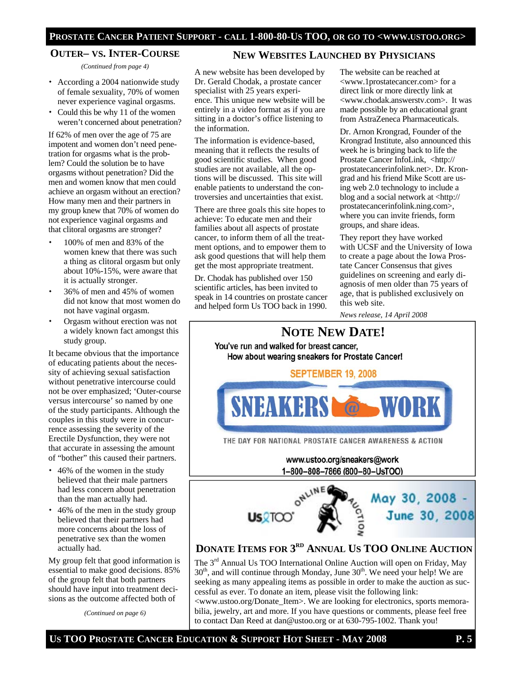#### **PROSTATE CANCER PATIENT SUPPORT - CALL 1-800-80-US TOO, OR GO TO <WWW.USTOO.ORG>**

#### **OUTER– VS. INTER-COURSE**

*(Continued from page 4)* 

- According a 2004 nationwide study of female sexuality, 70% of women never experience vaginal orgasms.
- Could this be why 11 of the women weren't concerned about penetration?

If 62% of men over the age of 75 are impotent and women don't need penetration for orgasms what is the problem? Could the solution be to have orgasms without penetration? Did the men and women know that men could achieve an orgasm without an erection? How many men and their partners in my group knew that 70% of women do not experience vaginal orgasms and that clitoral orgasms are stronger?

- 100% of men and 83% of the women knew that there was such a thing as clitoral orgasm but only about 10%-15%, were aware that it is actually stronger.
- 36% of men and 45% of women did not know that most women do not have vaginal orgasm.
- Orgasm without erection was not a widely known fact amongst this study group.

It became obvious that the importance of educating patients about the necessity of achieving sexual satisfaction without penetrative intercourse could not be over emphasized; 'Outer-course versus intercourse' so named by one of the study participants. Although the couples in this study were in concurrence assessing the severity of the Erectile Dysfunction, they were not that accurate in assessing the amount of "bother" this caused their partners.

- 46% of the women in the study believed that their male partners had less concern about penetration than the man actually had.
- 46% of the men in the study group believed that their partners had more concerns about the loss of penetrative sex than the women actually had.

My group felt that good information is essential to make good decisions. 85% of the group felt that both partners should have input into treatment decisions as the outcome affected both of

*(Continued on page 6)* 

#### **NEW WEBSITES LAUNCHED BY PHYSICIANS**

A new website has been developed by Dr. Gerald Chodak, a prostate cancer specialist with 25 years experience. This unique new website will be entirely in a video format as if you are sitting in a doctor's office listening to the information.

The information is evidence-based, meaning that it reflects the results of good scientific studies. When good studies are not available, all the options will be discussed. This site will enable patients to understand the controversies and uncertainties that exist.

There are three goals this site hopes to achieve: To educate men and their families about all aspects of prostate cancer, to inform them of all the treatment options, and to empower them to ask good questions that will help them get the most appropriate treatment.

Dr. Chodak has published over 150 scientific articles, has been invited to speak in 14 countries on prostate cancer and helped form Us TOO back in 1990. The website can be reached at <www.1prostatecancer.com> for a direct link or more directly link at <www.chodak.answerstv.com>. It was made possible by an educational grant from AstraZeneca Pharmaceuticals.

Dr. Arnon Krongrad, Founder of the Krongrad Institute, also announced this week he is bringing back to life the Prostate Cancer InfoLink, <http:// prostatecancerinfolink.net>. Dr. Krongrad and his friend Mike Scott are using web 2.0 technology to include a blog and a social network at <http:// prostatecancerinfolink.ning.com>, where you can invite friends, form groups, and share ideas.

They report they have worked with UCSF and the University of Iowa to create a page about the Iowa Prostate Cancer Consensus that gives guidelines on screening and early diagnosis of men older than 75 years of age, that is published exclusively on this web site.

*News release, 14 April 2008* 



to contact Dan Reed at dan@ustoo.org or at 630-795-1002. Thank you!

US TOO PROSTATE CANCER EDUCATION **&** SUPPORT HOT SHEET - MAY 2008 **P.5**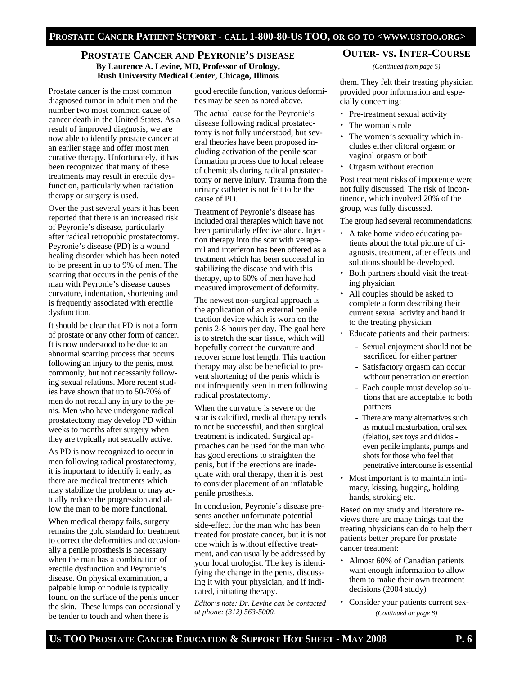# **PROSTATE CANCER AND PEYRONIE'S DISEASE By Laurence A. Levine, MD, Professor of Urology, Rush University Medical Center, Chicago, Illinois** them. They felt their treating physician

Prostate cancer is the most common diagnosed tumor in adult men and the number two most common cause of cancer death in the United States. As a result of improved diagnosis, we are now able to identify prostate cancer at an earlier stage and offer most men curative therapy. Unfortunately, it has been recognized that many of these treatments may result in erectile dysfunction, particularly when radiation therapy or surgery is used.

Over the past several years it has been reported that there is an increased risk of Peyronie's disease, particularly after radical retropubic prostatectomy. Peyronie's disease (PD) is a wound healing disorder which has been noted to be present in up to 9% of men. The scarring that occurs in the penis of the man with Peyronie's disease causes curvature, indentation, shortening and is frequently associated with erectile dysfunction.

It should be clear that PD is not a form of prostate or any other form of cancer. It is now understood to be due to an abnormal scarring process that occurs following an injury to the penis, most commonly, but not necessarily following sexual relations. More recent studies have shown that up to 50-70% of men do not recall any injury to the penis. Men who have undergone radical prostatectomy may develop PD within weeks to months after surgery when they are typically not sexually active.

As PD is now recognized to occur in men following radical prostatectomy, it is important to identify it early, as there are medical treatments which may stabilize the problem or may actually reduce the progression and allow the man to be more functional.

When medical therapy fails, surgery remains the gold standard for treatment to correct the deformities and occasionally a penile prosthesis is necessary when the man has a combination of erectile dysfunction and Peyronie's disease. On physical examination, a palpable lump or nodule is typically found on the surface of the penis under the skin. These lumps can occasionally be tender to touch and when there is

good erectile function, various deformities may be seen as noted above.

The actual cause for the Peyronie's disease following radical prostatectomy is not fully understood, but several theories have been proposed including activation of the penile scar formation process due to local release of chemicals during radical prostatectomy or nerve injury. Trauma from the urinary catheter is not felt to be the cause of PD.

Treatment of Peyronie's disease has included oral therapies which have not been particularly effective alone. Injection therapy into the scar with verapamil and interferon has been offered as a treatment which has been successful in stabilizing the disease and with this therapy, up to 60% of men have had measured improvement of deformity.

The newest non-surgical approach is the application of an external penile traction device which is worn on the penis 2-8 hours per day. The goal here is to stretch the scar tissue, which will hopefully correct the curvature and recover some lost length. This traction therapy may also be beneficial to prevent shortening of the penis which is not infrequently seen in men following radical prostatectomy.

When the curvature is severe or the scar is calcified, medical therapy tends to not be successful, and then surgical treatment is indicated. Surgical approaches can be used for the man who has good erections to straighten the penis, but if the erections are inadequate with oral therapy, then it is best to consider placement of an inflatable penile prosthesis.

In conclusion, Peyronie's disease presents another unfortunate potential side-effect for the man who has been treated for prostate cancer, but it is not one which is without effective treatment, and can usually be addressed by your local urologist. The key is identifying the change in the penis, discussing it with your physician, and if indicated, initiating therapy.

*Editor's note: Dr. Levine can be contacted at phone: (312) 563-5000.*

#### **OUTER- VS. INTER-COURSE**

*(Continued from page 5)* 

provided poor information and especially concerning:

- Pre-treatment sexual activity
- The woman's role
- The women's sexuality which includes either clitoral orgasm or vaginal orgasm or both
- Orgasm without erection

Post treatment risks of impotence were not fully discussed. The risk of incontinence, which involved 20% of the group, was fully discussed.

The group had several recommendations:

- A take home video educating patients about the total picture of diagnosis, treatment, after effects and solutions should be developed.
- Both partners should visit the treating physician
- All couples should be asked to complete a form describing their current sexual activity and hand it to the treating physician
- Educate patients and their partners:
	- Sexual enjoyment should not be sacrificed for either partner
	- Satisfactory orgasm can occur without penetration or erection
	- Each couple must develop solu tions that are acceptable to both partners
	- There are many alternatives such as mutual masturbation, oral sex (felatio), sex toys and dildos even penile implants, pumps and shots for those who feel that penetrative intercourse is essential
- Most important is to maintain intimacy, kissing, hugging, holding hands, stroking etc.

Based on my study and literature reviews there are many things that the treating physicians can do to help their patients better prepare for prostate cancer treatment:

- Almost 60% of Canadian patients want enough information to allow them to make their own treatment decisions (2004 study)
- Consider your patients current sex-*(Continued on page 8)*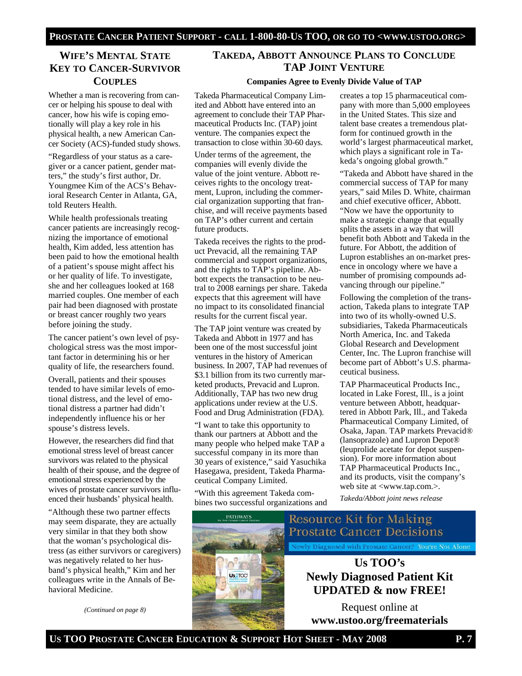# **WIFE'S MENTAL STATE KEY TO CANCER-SURVIVOR COUPLES**

Whether a man is recovering from cancer or helping his spouse to deal with cancer, how his wife is coping emotionally will play a key role in his physical health, a new American Cancer Society (ACS)-funded study shows.

"Regardless of your status as a caregiver or a cancer patient, gender matters," the study's first author, Dr. Youngmee Kim of the ACS's Behavioral Research Center in Atlanta, GA, told Reuters Health.

While health professionals treating cancer patients are increasingly recognizing the importance of emotional health, Kim added, less attention has been paid to how the emotional health of a patient's spouse might affect his or her quality of life. To investigate, she and her colleagues looked at 168 married couples. One member of each pair had been diagnosed with prostate or breast cancer roughly two years before joining the study.

The cancer patient's own level of psychological stress was the most important factor in determining his or her quality of life, the researchers found.

Overall, patients and their spouses tended to have similar levels of emotional distress, and the level of emotional distress a partner had didn't independently influence his or her spouse's distress levels.

However, the researchers did find that emotional stress level of breast cancer survivors was related to the physical health of their spouse, and the degree of emotional stress experienced by the wives of prostate cancer survivors influenced their husbands' physical health.

"Although these two partner effects may seem disparate, they are actually very similar in that they both show that the woman's psychological distress (as either survivors or caregivers) was negatively related to her husband's physical health," Kim and her colleagues write in the Annals of Behavioral Medicine.

*(Continued on page 8)* 

#### **TAKEDA, ABBOTT ANNOUNCE PLANS TO CONCLUDE TAP JOINT VENTURE**

#### **Companies Agree to Evenly Divide Value of TAP**

Takeda Pharmaceutical Company Limited and Abbott have entered into an agreement to conclude their TAP Pharmaceutical Products Inc. (TAP) joint venture. The companies expect the transaction to close within 30-60 days.

Under terms of the agreement, the companies will evenly divide the value of the joint venture. Abbott receives rights to the oncology treatment, Lupron, including the commercial organization supporting that franchise, and will receive payments based on TAP's other current and certain future products.

Takeda receives the rights to the product Prevacid, all the remaining TAP commercial and support organizations, and the rights to TAP's pipeline. Abbott expects the transaction to be neutral to 2008 earnings per share. Takeda expects that this agreement will have no impact to its consolidated financial results for the current fiscal year.

The TAP joint venture was created by Takeda and Abbott in 1977 and has been one of the most successful joint ventures in the history of American business. In 2007, TAP had revenues of \$3.1 billion from its two currently marketed products, Prevacid and Lupron. Additionally, TAP has two new drug applications under review at the U.S. Food and Drug Administration (FDA).

"I want to take this opportunity to thank our partners at Abbott and the many people who helped make TAP a successful company in its more than 30 years of existence," said Yasuchika Hasegawa, president, Takeda Pharmaceutical Company Limited.

"With this agreement Takeda combines two successful organizations and



creates a top 15 pharmaceutical company with more than 5,000 employees in the United States. This size and talent base creates a tremendous platform for continued growth in the world's largest pharmaceutical market, which plays a significant role in Takeda's ongoing global growth."

"Takeda and Abbott have shared in the commercial success of TAP for many years," said Miles D. White, chairman and chief executive officer, Abbott. "Now we have the opportunity to make a strategic change that equally splits the assets in a way that will benefit both Abbott and Takeda in the future. For Abbott, the addition of Lupron establishes an on-market presence in oncology where we have a number of promising compounds advancing through our pipeline."

Following the completion of the transaction, Takeda plans to integrate TAP into two of its wholly-owned U.S. subsidiaries, Takeda Pharmaceuticals North America, Inc. and Takeda Global Research and Development Center, Inc. The Lupron franchise will become part of Abbott's U.S. pharmaceutical business.

TAP Pharmaceutical Products Inc., located in Lake Forest, Ill., is a joint venture between Abbott, headquartered in Abbott Park, Ill., and Takeda Pharmaceutical Company Limited, of Osaka, Japan. TAP markets Prevacid® (lansoprazole) and Lupron Depot® (leuprolide acetate for depot suspension). For more information about TAP Pharmaceutical Products Inc., and its products, visit the company's web site at <www.tap.com.>.

*Takeda/Abbott joint news release* 

# Resource Kit for Making **Prostate Cancer Decisions** Newly Diagnosed with Prostate Cancer? You're Not Alone **Us TOO's Newly Diagnosed Patient Kit UPDATED & now FREE!**

Request online at **www.ustoo.org/freematerials**